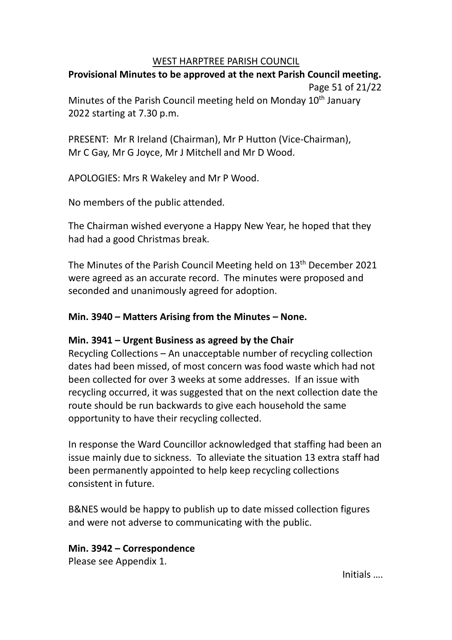### WEST HARPTREE PARISH COUNCIL

## **Provisional Minutes to be approved at the next Parish Council meeting.** Page 51 of 21/22

Minutes of the Parish Council meeting held on Monday 10<sup>th</sup> January 2022 starting at 7.30 p.m.

PRESENT: Mr R Ireland (Chairman), Mr P Hutton (Vice-Chairman), Mr C Gay, Mr G Joyce, Mr J Mitchell and Mr D Wood.

APOLOGIES: Mrs R Wakeley and Mr P Wood.

No members of the public attended.

The Chairman wished everyone a Happy New Year, he hoped that they had had a good Christmas break.

The Minutes of the Parish Council Meeting held on 13<sup>th</sup> December 2021 were agreed as an accurate record. The minutes were proposed and seconded and unanimously agreed for adoption.

# **Min. 3940 – Matters Arising from the Minutes – None.**

# **Min. 3941 – Urgent Business as agreed by the Chair**

Recycling Collections – An unacceptable number of recycling collection dates had been missed, of most concern was food waste which had not been collected for over 3 weeks at some addresses. If an issue with recycling occurred, it was suggested that on the next collection date the route should be run backwards to give each household the same opportunity to have their recycling collected.

In response the Ward Councillor acknowledged that staffing had been an issue mainly due to sickness. To alleviate the situation 13 extra staff had been permanently appointed to help keep recycling collections consistent in future.

B&NES would be happy to publish up to date missed collection figures and were not adverse to communicating with the public.

# **Min. 3942 – Correspondence**

Please see Appendix 1.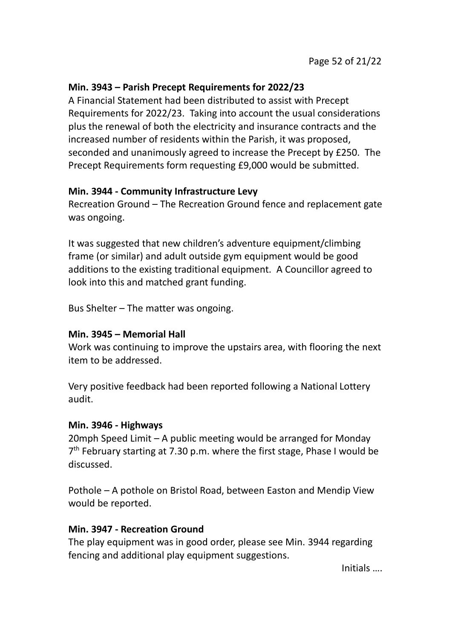## **Min. 3943 – Parish Precept Requirements for 2022/23**

A Financial Statement had been distributed to assist with Precept Requirements for 2022/23. Taking into account the usual considerations plus the renewal of both the electricity and insurance contracts and the increased number of residents within the Parish, it was proposed, seconded and unanimously agreed to increase the Precept by £250. The Precept Requirements form requesting £9,000 would be submitted.

## **Min. 3944 - Community Infrastructure Levy**

Recreation Ground – The Recreation Ground fence and replacement gate was ongoing.

It was suggested that new children's adventure equipment/climbing frame (or similar) and adult outside gym equipment would be good additions to the existing traditional equipment. A Councillor agreed to look into this and matched grant funding.

Bus Shelter – The matter was ongoing.

## **Min. 3945 – Memorial Hall**

Work was continuing to improve the upstairs area, with flooring the next item to be addressed.

Very positive feedback had been reported following a National Lottery audit.

#### **Min. 3946 - Highways**

20mph Speed Limit – A public meeting would be arranged for Monday 7<sup>th</sup> February starting at 7.30 p.m. where the first stage, Phase I would be discussed.

Pothole – A pothole on Bristol Road, between Easton and Mendip View would be reported.

## **Min. 3947 - Recreation Ground**

The play equipment was in good order, please see Min. 3944 regarding fencing and additional play equipment suggestions.

Initials ….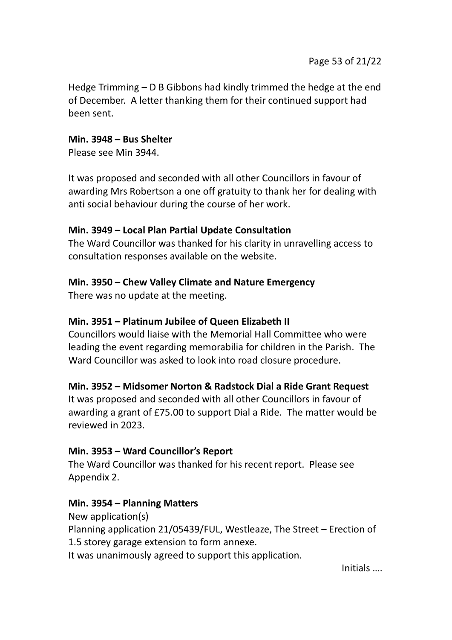Hedge Trimming – D B Gibbons had kindly trimmed the hedge at the end of December. A letter thanking them for their continued support had been sent.

## **Min. 3948 – Bus Shelter**

Please see Min 3944.

It was proposed and seconded with all other Councillors in favour of awarding Mrs Robertson a one off gratuity to thank her for dealing with anti social behaviour during the course of her work.

## **Min. 3949 – Local Plan Partial Update Consultation**

The Ward Councillor was thanked for his clarity in unravelling access to consultation responses available on the website.

## **Min. 3950 – Chew Valley Climate and Nature Emergency**

There was no update at the meeting.

## **Min. 3951 – Platinum Jubilee of Queen Elizabeth II**

Councillors would liaise with the Memorial Hall Committee who were leading the event regarding memorabilia for children in the Parish. The Ward Councillor was asked to look into road closure procedure.

## **Min. 3952 – Midsomer Norton & Radstock Dial a Ride Grant Request**

It was proposed and seconded with all other Councillors in favour of awarding a grant of £75.00 to support Dial a Ride. The matter would be reviewed in 2023.

# **Min. 3953 – Ward Councillor's Report**

The Ward Councillor was thanked for his recent report. Please see Appendix 2.

## **Min. 3954 – Planning Matters**

New application(s) Planning application 21/05439/FUL, Westleaze, The Street – Erection of 1.5 storey garage extension to form annexe. It was unanimously agreed to support this application.

Initials ….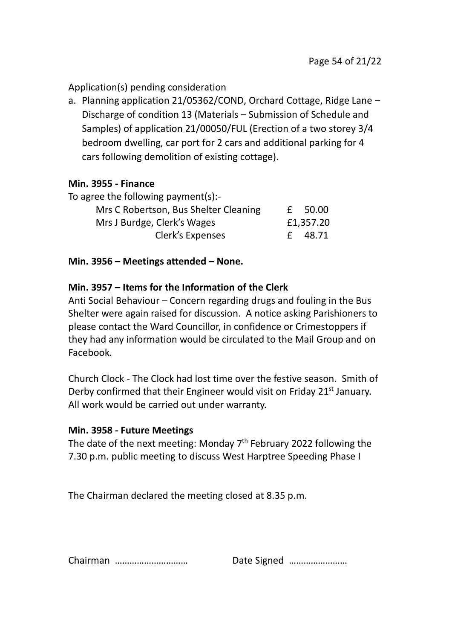Application(s) pending consideration

a. Planning application 21/05362/COND, Orchard Cottage, Ridge Lane – Discharge of condition 13 (Materials – Submission of Schedule and Samples) of application 21/00050/FUL (Erection of a two storey 3/4 bedroom dwelling, car port for 2 cars and additional parking for 4 cars following demolition of existing cottage).

### **Min. 3955 - Finance**

| To agree the following payment(s):-   |              |           |
|---------------------------------------|--------------|-----------|
| Mrs C Robertson, Bus Shelter Cleaning | $\mathbf{f}$ | 50.00     |
| Mrs J Burdge, Clerk's Wages           |              | £1,357.20 |
| Clerk's Expenses                      | $\mathbf{f}$ | 48.71     |
|                                       |              |           |

### **Min. 3956 – Meetings attended – None.**

### **Min. 3957 – Items for the Information of the Clerk**

Anti Social Behaviour – Concern regarding drugs and fouling in the Bus Shelter were again raised for discussion. A notice asking Parishioners to please contact the Ward Councillor, in confidence or Crimestoppers if they had any information would be circulated to the Mail Group and on Facebook.

Church Clock - The Clock had lost time over the festive season. Smith of Derby confirmed that their Engineer would visit on Friday 21<sup>st</sup> January. All work would be carried out under warranty.

#### **Min. 3958 - Future Meetings**

The date of the next meeting: Monday 7<sup>th</sup> February 2022 following the 7.30 p.m. public meeting to discuss West Harptree Speeding Phase I

The Chairman declared the meeting closed at 8.35 p.m.

Chairman ………………………… Date Signed ……………………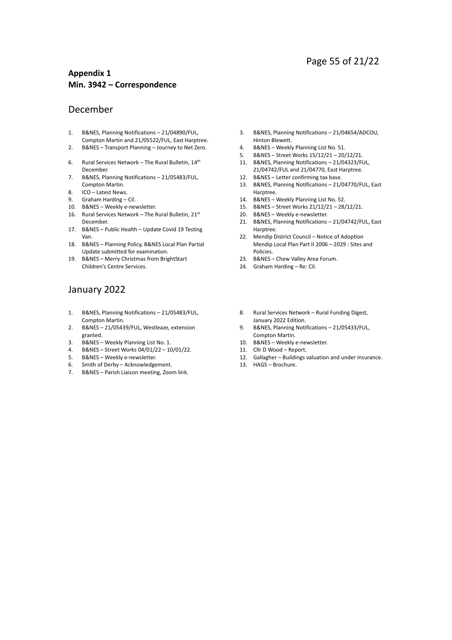#### Page 55 of 21/22

#### **Appendix 1 Min. 3942 – Correspondence**

#### December

- 1. B&NES, Planning Notifications 21/04890/FUL,
- Compton Martin and 21/05522/FUL, East Harptree. 2. B&NES – Transport Planning – Journey to Net Zero.
- 6. Rural Services Network The Rural Bulletin, 14th December.
- 7. B&NES, Planning Notifications 21/05483/FUL, Compton Martin.
- 8. ICO Latest News.
- 9. Graham Harding Cil.
- 10. B&NES Weekly e-newsletter.
- 16. Rural Services Network The Rural Bulletin,  $21^{st}$ December.
- 17. B&NES Public Health Update Covid 19 Testing Van.
- 18. B&NES Planning Policy, B&NES Local Plan Partial Update submitted for examination.
- 19. B&NES Merry Christmas from BrightStart Children's Centre Services.

### January 2022

- 1. B&NES, Planning Notifications 21/05483/FUL, Compton Martin.
- 2. B&NES 21/05439/FUL, Westleaze, extension granted.
- 3. B&NES Weekly Planning List No. 1.
- 4. B&NES Street Works 04/01/22 10/01/22.
- 5. B&NES Weekly e-newsletter.
- 6. Smith of Derby Acknowledgement.
- 7. B&NES Parish Liaison meeting, Zoom link.
- 3. B&NES, Planning Notifications 21/04654/ADCOU, Hinton Blewett.
- 4. B&NES Weekly Planning List No. 51.
- 5. B&NES Street Works 15/12/21 20/12/21.
- 11. B&NES, Planning Notifications 21/04323/FUL, 21/04742/FUL and 21/04770, East Harptree.
- 12. B&NES Letter confirming tax base.
- 13. B&NES, Planning Notifications 21/04770/FUL, East Harptree.
- 14. B&NES Weekly Planning List No. 52.
- 15. B&NES Street Works 21/12/21 28/12/21.
- 20. B&NES Weekly e-newsletter.
- 21. B&NES, Planning Notifications 21/04742/FUL, East Harptree.
- 22. Mendip District Council Notice of Adoption Mendip Local Plan Part II 2006 – 2029 : Sites and Policies.
- 23. B&NES Chew Valley Area Forum.
- 24. Graham Harding Re: Cil.
- 8. Rural Services Network Rural Funding Digest, January 2022 Edition.
- 9. B&NES, Planning Notifications 21/05433/FUL, Compton Martin.
- 10. B&NES Weekly e-newsletter.
- 11. Cllr D Wood Report.
- 12. Gallagher Buildings valuation and under insurance.
- 13. HAGS Brochure.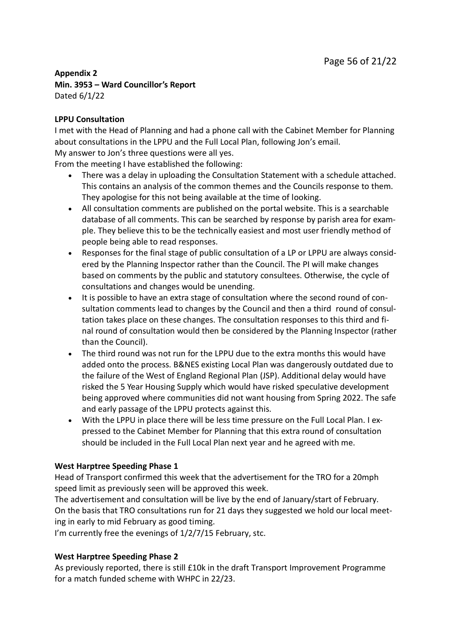#### **Appendix 2 Min. 3953 – Ward Councillor's Report** Dated 6/1/22

#### **LPPU Consultation**

I met with the Head of Planning and had a phone call with the Cabinet Member for Planning about consultations in the LPPU and the Full Local Plan, following Jon's email. My answer to Jon's three questions were all yes.

From the meeting I have established the following:

- There was a delay in uploading the Consultation Statement with a schedule attached. This contains an analysis of the common themes and the Councils response to them. They apologise for this not being available at the time of looking.
- All consultation comments are published on the portal website. This is a searchable database of all comments. This can be searched by response by parish area for example. They believe this to be the technically easiest and most user friendly method of people being able to read responses.
- Responses for the final stage of public consultation of a LP or LPPU are always considered by the Planning Inspector rather than the Council. The PI will make changes based on comments by the public and statutory consultees. Otherwise, the cycle of consultations and changes would be unending.
- It is possible to have an extra stage of consultation where the second round of consultation comments lead to changes by the Council and then a third round of consultation takes place on these changes. The consultation responses to this third and final round of consultation would then be considered by the Planning Inspector (rather than the Council).
- The third round was not run for the LPPU due to the extra months this would have added onto the process. B&NES existing Local Plan was dangerously outdated due to the failure of the West of England Regional Plan (JSP). Additional delay would have risked the 5 Year Housing Supply which would have risked speculative development being approved where communities did not want housing from Spring 2022. The safe and early passage of the LPPU protects against this.
- With the LPPU in place there will be less time pressure on the Full Local Plan. I expressed to the Cabinet Member for Planning that this extra round of consultation should be included in the Full Local Plan next year and he agreed with me.

#### **West Harptree Speeding Phase 1**

Head of Transport confirmed this week that the advertisement for the TRO for a 20mph speed limit as previously seen will be approved this week.

The advertisement and consultation will be live by the end of January/start of February. On the basis that TRO consultations run for 21 days they suggested we hold our local meeting in early to mid February as good timing.

I'm currently free the evenings of 1/2/7/15 February, stc.

#### **West Harptree Speeding Phase 2**

As previously reported, there is still £10k in the draft Transport Improvement Programme for a match funded scheme with WHPC in 22/23.